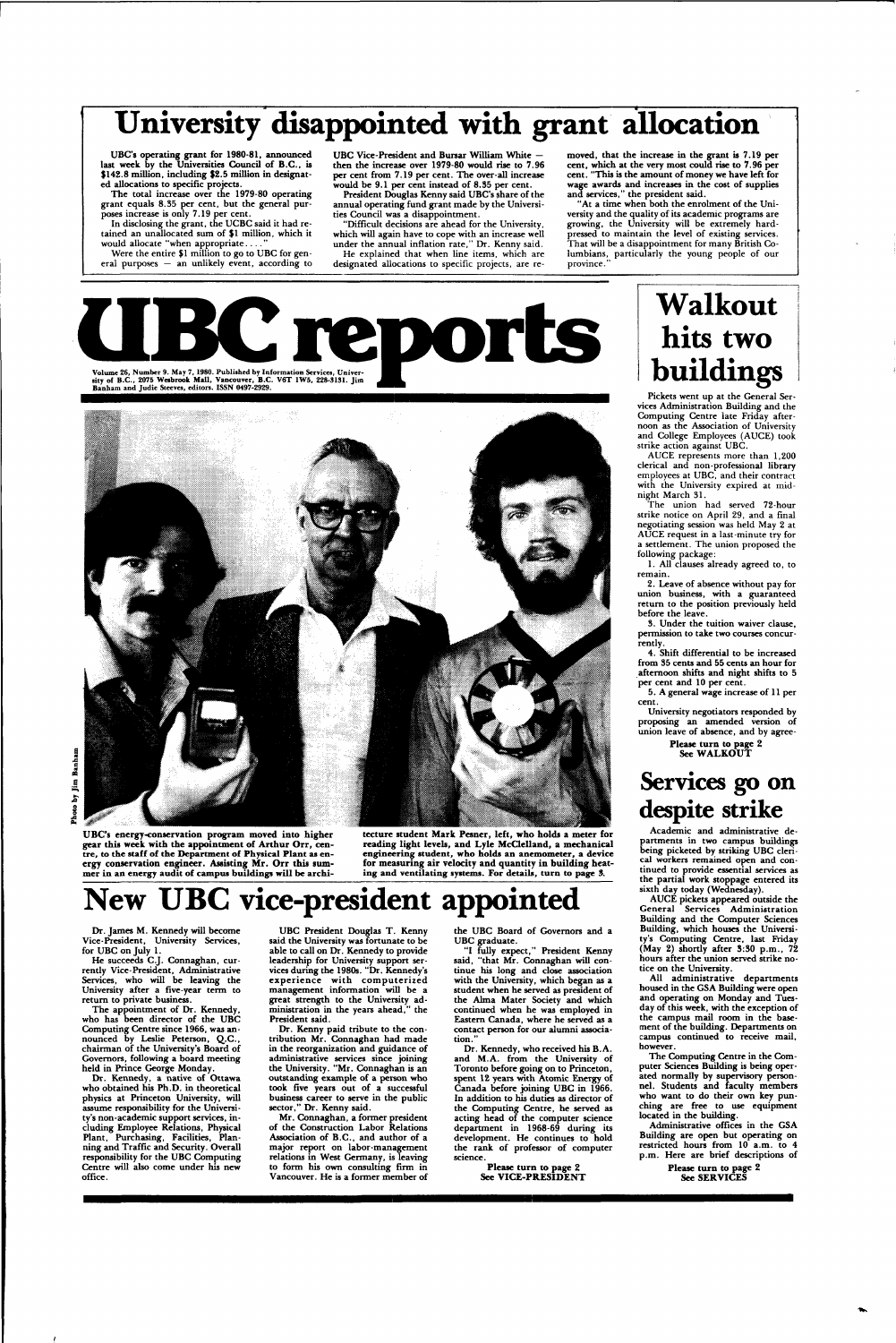# University disappointed with grant allocation

**UBC's operating grant for 1980-81,** announced last week by the Universities Council of B.C., is \$142.8 million, including \$2.5 million in designated allocations to specific projects.

The total increase over the 1979-80 operating grant equals 8.35 per cent, but the general purposes increase is only 7.19 per cent.

In disclosing the grant, the UCBC said it had retained an unallocated sum of \$1 million, which it would allocate "when appropriate

Were the entire \$1 million to go to UBC for general purposes — an unlikely event, according to

UBC Vice-President and Bursar William White then the increase over 1979-80 would rise to 7.96 per cent from 7.19 per cent. The over-all increase would be 9.1 per cent instead of 8.35 per cent.

> "At a time when both the enrolment of the University and the quality of its academic programs are growing, the University will be extremely hardpressed to maintain the level of existing services. That will be a disappointment for many British Columbians, particularly the young people of our province.

Volume 26, Number 9. May 7, 1980. Published by Information Services, University of B.C., 2075 Webbrook Mail, Vancouver, B.C. V6T 1W5, 228-3131. Jim<br>Banham and Judie Steeves, editors. ISSN 0497-2929.



President Douglas Kenny said UBC's share of the annual operating fund grant made by the Universities Council was a disappointment.

"Difficult decisions are ahead for the University, which will again have to cope with an increase well under the annual inflation rate," Dr. Kenny said. He explained that when line items, which are designated allocations to specific projects, are removed, that the increase in the grant is 7.19 per cent, which at the very most could rise to 7.96 per cent. "This is the amount of money we have left for wage awards and increases in the cost of supplies and services," the president said.

He succeeds C.J. Connaghan, currently Vice-President, Administrative Services, who will be leaving the

The appointment of Dr. Kennedy, who has been director of the UBC Computing Centre since 1966, was announced by Leslie Peterson, Q.C., chairman of the University's Board of Governors, following a board meeting held in Prince George Monday.

**UBC's energy-conservation program moved into higher gear this week with the appointment of Arthur Orr, centre, to the staff of the Department of Physical Plant as energy conservation engineer. Assisting Mr. Orr this summer in an energy audit of campus buildings will be archi-**

> "I fully expect," President Kenny said, "that Mr. Connaghan will continue his long and close association with the University, which began as a

student when he served as president of the Alma Mater Society and which continued when he was employed in Eastern Canada, where he served as a contact person for our alumni association.

**tecture student Mark Pesner, left, who holds a meter for reading light levels, and Lyle McClelland, a mechanical engineering student, who holds an anemometer, a device for measuring air velocity and quantity in building heating and** ventilating systems. **For** details, **turn** to page *3.* 

## **New UBC vice-president appointed**

Dr. James M. Kennedy will become Vice-President, University Services, for UBC on July 1.

University after a five-year term to return to private business.

Dr. Kennedy, a native of Ottawa who obtained his Ph.D. in theoretical physics at Princeton University, will assume responsibility for the University's non-academic support services, including Employee Relations, Physical Plant, Purchasing, Facilities, Planning and Traffic and Security. Overall responsibility for the UBC Computing Centre will also come under his new office.

UBC President Douglas T. Kenny said the University was fortunate to be able to call on Dr. Kennedy to provide leadership for University support services during the 1980s. "Dr. Kennedy's experience with computerized management information will be a great strength to the University administration in the years ahead," the President said. Dr. Kenny paid tribute to the contribution Mr. Connaghan had made in the reorganization and guidance of administrative services since joining the University. "Mr. Connaghan is an outstanding example of a person who took five years out of a successful business career to serve in the public sector," Dr. Kenny said. Mr. Connaghan, a former president of the Construction Labor Relations Association of B.C., and author of a major report on labor-management relations in West Germany, is leaving to form his own consulting firm in Vancouver. He is a former member of

the UBC Board of Governors and a UBC graduate.

Dr. Kennedy, who received his B.A. and M.A. from the University of Toronto before going on to Princeton, spent 12 years with Atomic Energy of Canada before joining UBC in 1966. In addition to his duties as director of the Computing Centre, he served as acting head of the computer science department in 1968-69 during its development. He continues to hold the rank of professor of computer science.

> **Please turn to page 2 See VICE-PRESIDENT**

## **Walkout hits two buildings**

Pickets went up at the General Services Administration Building and the Computing Centre late Friday afternoon as the Association of University and College Employees (AUCE) took strike action against UBC.

AUCE represents more than 1,200 clerical and non-professional library employees at UBC, and their contract with the University expired at midnight March 31.

The union had served 72-hour strike notice on April 29, and a final negotiating session was held May 2 at AUCE request in a last-minute try for a settlement. The union proposed the following package:

1. All clauses already agreed to, to remain.

2. Leave of absence without pay for union business, with a guaranteed return to the position previously held before the leave.

3. Under the tuition waiver clause, permission to take two courses concurrently.

4. Shift differential to be increased from 35 cents and 55 cents an hour for afternoon shifts and night shifts to 5 per cent and 10 per cent.

5. A general wage increase of 11 per cent.

University negotiators responded by proposing an amended version of union leave of absence, and by agree-**Please turn to page 2** 

**See WALKOUT** 

### **Services go on despite strike**

Academic and administrative departments in two campus buildings being picketed by striking UBC clerical workers remained open and continued to provide essential services as the partial work stoppage entered its sixth day today (Wednesday).

AUCE pickets appeared outside the General Services Administration Building and the Computer Sciences Building, which houses the University's Computing Centre, last Friday (May 2) shortly after  $3:30$  p.m.,  $72$ hours after the union served strike notice on the University.

All administrative departments housed in the GSA Building were open

and operating on Monday and Tuesday of this week, with the exception of the campus mail room in the basement of the building. Departments on campus continued to receive mail, however.

The Computing Centre in the Computer Sciences Building is being operated normally by supervisory personnel. Students and faculty members who want to do their own key punching are free to use equipment located in the building.

Administrative offices in the GSA Building are open but operating on restricted hours from 10 a.m. to 4 p.m. Here are brief descriptions of

> **Please turn to page 2 See SERVICES**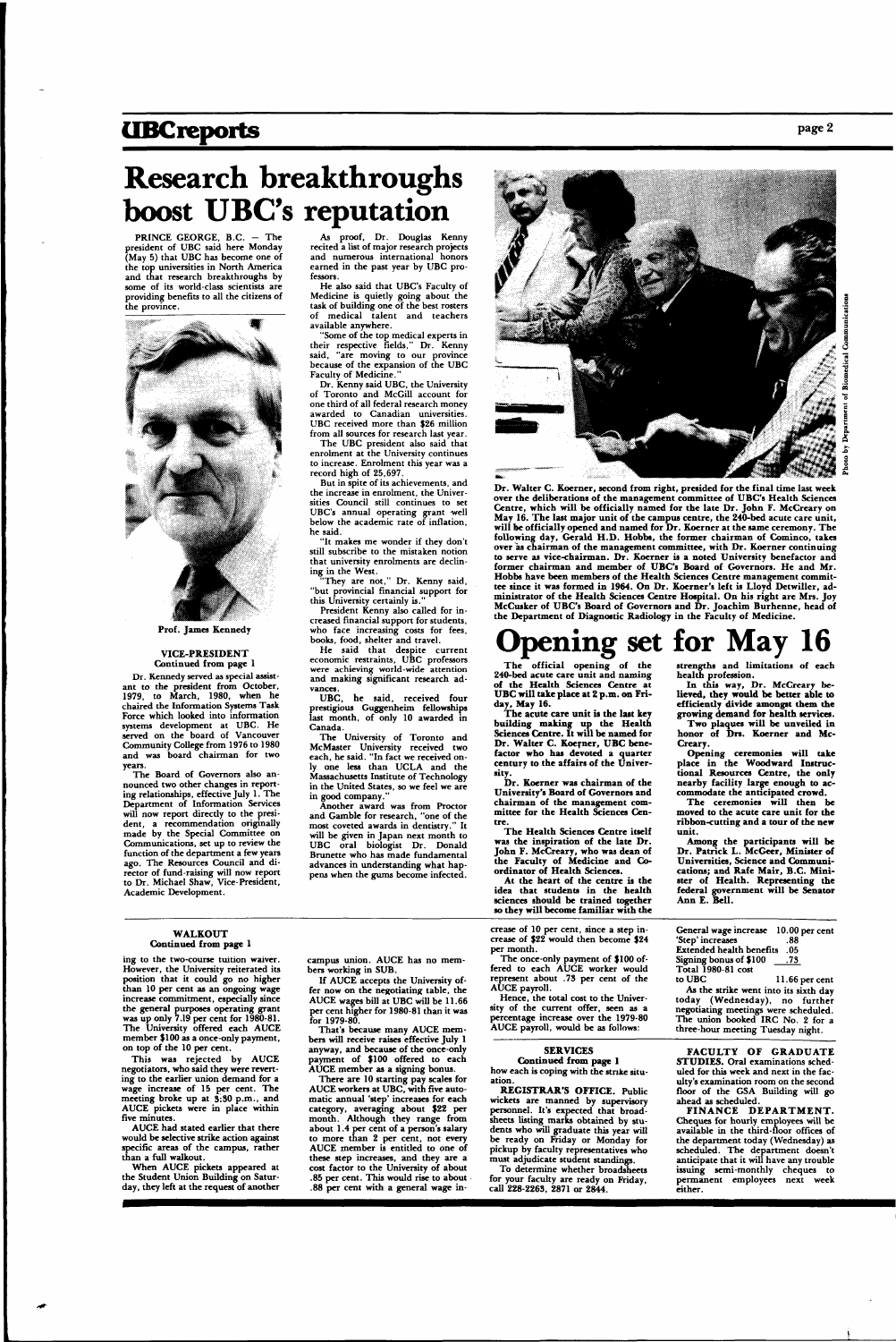### **UBCreports** page 2

## **Research breakthroughs boost UBC's reputation**

PRINCE GEORGE, B.C. - The president of UBC said here Monday (May 5) that UBC has become one of the top universities in North America and that research breakthroughs by some of its world-class scientists are providing benefits to all the citizens of the province.



**Prof. James Kennedy** 

#### **VICE-PRESIDENT**  Continued from page 1

Dr. Kennedy served as special assistant to the president from October, 1979, to March, 1980, when he chaired the Information Systems Task Force which looked into information systems development at UBC. He served on the board of Vancouver Community College from 1976 to 1980 and was board chairman for two years.

"Some of the top medical experts in their respective fields," Dr. Kenny said, "are moving to our province because of the expansion of the UBC Faculty of Medicine.

The Board of Governors also announced two other changes in reporting relationships, effective July 1. The Department of Information Services will now report directly to the president, a recommendation originally made by the Special Committee on Communications, set up to review the function of the department a few years ago. The Resources Council and director of fund-raising will now report to Dr. Michael Shaw, Vice-President, Academic Development.

The UBC president also said that enrolment at the University continues to increase. Enrolment this year was a record high of 25,697.

As proof, Dr. Douglas Kenny recited a list of major research projects and numerous international honors earned in the past year by UBC professors.

President Kenny also called for increased financial support for students, who face increasing costs for fees, books, food, shelter and travel.

He said that despite current economic restraints, UBC professors were achieving world-wide attention and making significant research advances.<br>UBC,

He also said that UBC's Faculty of Medicine is quietly going about the task of building one of the best rosters of medical talent and teachers available anywhere.

he said, received four prestigious Guggenheim fellowships last month, of only 10 awarded in Canada.

The University of Toronto and McMaster University received two each, he said. "In fact we received onone less than UCLA and the Massachusetts Institute of Technology in the United States, so we feel we are in good company.

Dr. Kenny said UBC, the University of Toronto and McGill account for one third of all federal research money awarded to Canadian universities. UBC received more than \$26 million from all sources for research last year.

But in spite of its achievements, and the increase in enrolment, the Universities Council still continues to set UBC's annual operating grant well below the academic rate of inflation, he said.

Dr. Walter C. Koerner, second from right, presided for the final time last week over **the** deliberations of **the** management committee of **UBC's** Health Sciences Centre, which will **be officially** named **for the** late **Dr. John** F. McCreary on May 16. **The last major unit of the campus centre, the 240-bed** acute care unit, will be officially opened and named for Dr. Koerner at the same ceremony. The **following** day, **Gerald H.D . Hobbs, the former** chairma n **of** Cominco, takes over as chairma n of **the** management committee, with Dr. Koerner continuing to serve **as** vice-chairman. **Dr. Koerner is a noted** University benefactor and former chairman and member of UBC's Board of Governors. He and Mr. **Hobbs have been members of the Health** Sciences Centre management committee since it **was** formed in **1964. On Dr.** Koerner's left is Lloyd Detwiller, administrator of **the Health** Sciences **Centre Hospital. On** his **right are Mrs.** Joy **McCusker of UBC's Board of** Governors **and Dr.** Joachim **Burhenne,** head **of**  the Department of Diagnostic **Radiology** in the Faculty of Medicine.

"It makes me wonder if they don't still subscribe to the mistaken notion that university enrolments are declining in the West.

> The official opening of the 240-bed acute care unit and naming **of the Health Sciences Centre at U BC will take place at 2 p.m. on Friday, May 16.**

"They are not," Dr. Kenny said, "but provincial financial support for this University certainly is."

> **The Health Sciences Centre itself was the inspiration of the late Dr. John F. McCreary, who was dean of the Faculty of Medicine and Coordinator of Health Sciences.**

In this way, Dr. McCreary be**lieved, they would be better able to efficiently divide amongst them the growing demand for health services.** 

Another award was from Proctor and Gamble for research, "one of the most coveted awards in dentistry." It will be given in Japan next month to UBC oral biologist Dr. Donald Brunette who has made fundamental advances in understanding what happens when the gums become infected.



Hence, the total cost to the University of the current offer, seen as a percentage increase over the 1979-80 AUCE payroll, would be as follows:

General wage increase 10.00 per cent 'Step' increases

# **Opening set for May 16**

**FACULTY OF GRADUATE STUDIES.** Oral examinations scheduled for this week and next in the faculty's examination room on the second floor of the GSA Building will go ahead as scheduled.

FINANCE DEPARTMENT. Cheques for hourly employees will be available in the third-floor offices of the department today (Wednesday) as scheduled. The department doesn't anticipate that it will have any trouble issuing semi-monthly cheques to permanent employees next week either.

**T he acute care unit is the last key building making up the Health Sciences Centre. It will be named for Dr. Walter C. Koerner, UBC benefactor who has devoted a quarter century to the affairs of the University.** 

**Dr. Koerner was chairman of the University's Board of Governors and chairman of the management committee for the Health Sciences Centre.** 

**At the heart of the centre is the idea that students in the health sciences should be trained together so they will become familiar with the**  strengths and limitations of each health profession.

**Two plaques will be unveiled in honor of Drs. Koerner and Mc-Creary.** 

**Opening ceremonies will take place in the Woodward Instructional Resources Centre, the only nearby facility large enough to accommodate the anticipated crowd.** 

**The ceremonies will then be moved to the acute care unit for the ribbon-cutting and a tour of the new unit.** 

**Among the participants will be Dr. Patrick L. McGeer, Minister of Universities, Science and Communications; and Rafe Mair, B.C. Minister of Health. Representing the federal government will be Senator Ann E. Bell.** 

#### **WALKOUT Continued from page 1**

ing to the two-course tuition waiver. However, the University reiterated its position that it could go no higher than 10 per cent as an ongoing wage increase commitment, especially since the general purposes operating grant was up only 7.19 per cent for 1980-81. The University offered each AUCE member \$100 as a once-only payment, on top of the 10 per cent. This was rejected by AUCE negotiators, who said they were reverting to the earlier union demand for a wage increase of 15 per cent. The meeting broke up at 3:30 p.m., and AUCE pickets were in place within five minutes. AUCE had stated earlier that there would be selective strike action against specific areas of the campus, rather than a full walkout.

When AUCE pickets appeared at the Student Union Building on Saturday, they left at the request of another

campus union. AUCE has no members working in SUB.

If AUCE accepts the University of-

fer now on the negotiating table, the AUCE wages bill at UBC will be 11.66 per cent higher for 1980-81 than it was for 1979-80.

That's because many AUCE members will receive raises effective July 1 anyway, and because of the once-only payment of \$100 offered to each AUCE member as a signing bonus.

There are 10 starting pay scales for AUCE workers at UBC, with five automatic annual 'step' increases for each category, averaging about \$22 per month. Although they range from about 1.4 per cent of a person's salary to more than 2 per cent, not every AUCE member is entitled to one of these step increases, and they are a cost factor to the University of about .85 per cent. This would rise to about .88 per cent with a general wage increase of 10 per cent, since a step increase of \$22 would then become \$24 per month.

The once-only payment of \$100 offered to each AUCE worker would represent about .73 per cent of the

AUCE payroll.

Extended health benefits . 05 Signing bonus of  $$100$  .73 Total 1980-81 cost<br>to UBC 11.66 per cent As the strike went into its sixth day today (Wednesday), no further negotiating meetings were scheduled. The union booked IRC No. 2 for a three-hour meeting Tuesday night.

#### **SERVICES**

**Continued from page 1**  how each is coping with the strike situation.

**REGISTRAR'S OFFICE.** Public wickets are manned by supervisory personnel. It's expected that broadsheets listing marks obtained by students who will graduate this year will be ready on Friday or Monday for pickup by faculty representatives who must adjudicate student standings.

To determine whether broadsheets for your faculty are ready on Friday, call 228-2263, 2871 or 2844.